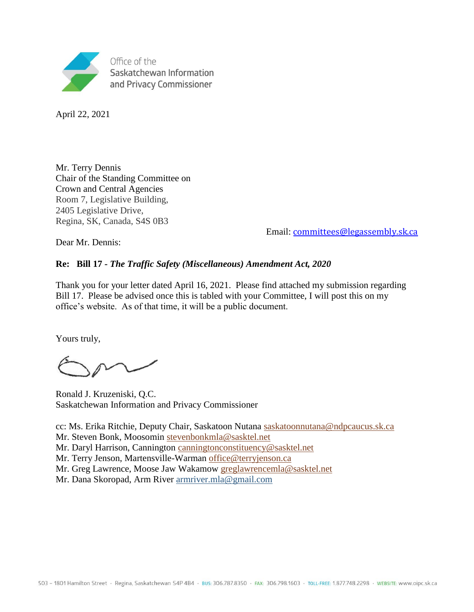

April 22, 2021

Mr. Terry Dennis Chair of the Standing Committee on Crown and Central Agencies Room 7, Legislative Building, 2405 Legislative Drive, Regina, SK, Canada, S4S 0B3

Email: [committees@legassembly.sk.ca](mailto:committees@legassembly.sk.ca)

Dear Mr. Dennis:

#### **Re: Bill 17 -** *The Traffic Safety (Miscellaneous) Amendment Act, 2020*

Thank you for your letter dated April 16, 2021. Please find attached my submission regarding Bill 17. Please be advised once this is tabled with your Committee, I will post this on my office's website. As of that time, it will be a public document.

Yours truly,

Ronald J. Kruzeniski, Q.C. Saskatchewan Information and Privacy Commissioner

cc: Ms. Erika Ritchie, Deputy Chair, Saskatoon Nutana [saskatoonnutana@ndpcaucus.sk.ca](mailto:saskatoonnutana@ndpcaucus.sk.ca) Mr. Steven Bonk, Moosomin [stevenbonkmla@sasktel.net](mailto:stevenbonkmla@sasktel.net) Mr. Daryl Harrison, Cannington [canningtonconstituency@sasktel.net](mailto:canningtonconstituency@sasktel.net)  Mr. Terry Jenson, Martensville-Warman [office@terryjenson.ca](mailto:office@terryjenson.ca)

Mr. Greg Lawrence, Moose Jaw Wakamow [greglawrencemla@sasktel.net](mailto:greglawrencemla@sasktel.net)

Mr. Dana Skoropad, Arm River [armriver.mla@gmail.com](mailto:armriver.mla@gmail.com)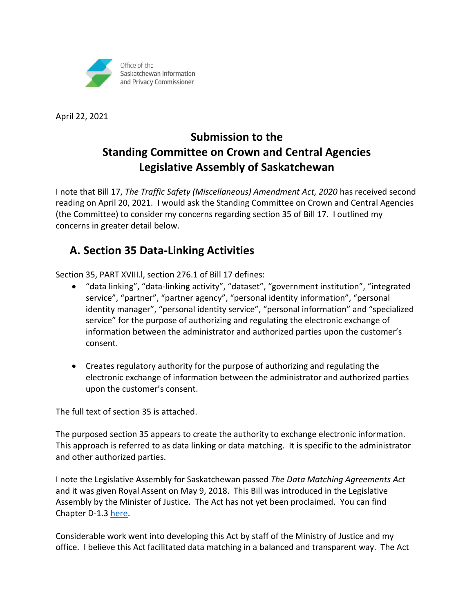

April 22, 2021

# **Submission to the Standing Committee on Crown and Central Agencies Legislative Assembly of Saskatchewan**

I note that Bill 17, *The Traffic Safety (Miscellaneous) Amendment Act, 2020* has received second reading on April 20, 2021. I would ask the Standing Committee on Crown and Central Agencies (the Committee) to consider my concerns regarding section 35 of Bill 17. I outlined my concerns in greater detail below.

## **A. Section 35 Data-Linking Activities**

Section 35, PART XVIII.l, section 276.1 of Bill 17 defines:

- "data linking", "data-linking activity", "dataset", "government institution", "integrated service", "partner", "partner agency", "personal identity information", "personal identity manager", "personal identity service", "personal information" and "specialized service" for the purpose of authorizing and regulating the electronic exchange of information between the administrator and authorized parties upon the customer's consent.
- Creates regulatory authority for the purpose of authorizing and regulating the electronic exchange of information between the administrator and authorized parties upon the customer's consent.

The full text of section 35 is attached.

The purposed section 35 appears to create the authority to exchange electronic information. This approach is referred to as data linking or data matching. It is specific to the administrator and other authorized parties.

I note the Legislative Assembly for Saskatchewan passed *The Data Matching Agreements Act* and it was given Royal Assent on May 9, 2018. This Bill was introduced in the Legislative Assembly by the Minister of Justice. The Act has not yet been proclaimed. You can find Chapter D-1.3 [here.](http://www.qp.gov.sk.ca/m/index.cfm?action=browse&p=90575)

Considerable work went into developing this Act by staff of the Ministry of Justice and my office. I believe this Act facilitated data matching in a balanced and transparent way. The Act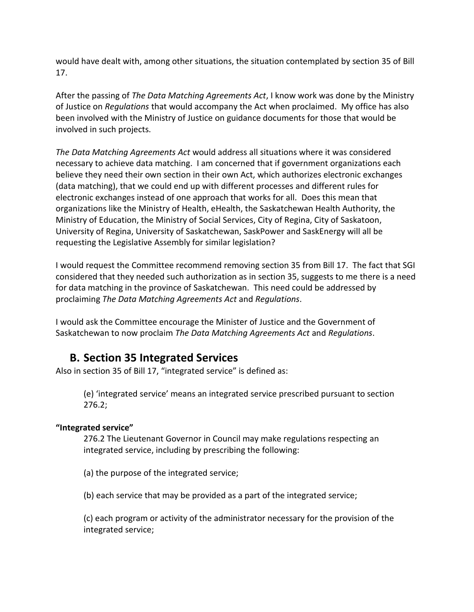would have dealt with, among other situations, the situation contemplated by section 35 of Bill 17.

After the passing of *The Data Matching Agreements Act*, I know work was done by the Ministry of Justice on *Regulations* that would accompany the Act when proclaimed. My office has also been involved with the Ministry of Justice on guidance documents for those that would be involved in such projects.

*The Data Matching Agreements Act* would address all situations where it was considered necessary to achieve data matching. I am concerned that if government organizations each believe they need their own section in their own Act, which authorizes electronic exchanges (data matching), that we could end up with different processes and different rules for electronic exchanges instead of one approach that works for all. Does this mean that organizations like the Ministry of Health, eHealth, the Saskatchewan Health Authority, the Ministry of Education, the Ministry of Social Services, City of Regina, City of Saskatoon, University of Regina, University of Saskatchewan, SaskPower and SaskEnergy will all be requesting the Legislative Assembly for similar legislation?

I would request the Committee recommend removing section 35 from Bill 17. The fact that SGI considered that they needed such authorization as in section 35, suggests to me there is a need for data matching in the province of Saskatchewan. This need could be addressed by proclaiming *The Data Matching Agreements Act* and *Regulations*.

I would ask the Committee encourage the Minister of Justice and the Government of Saskatchewan to now proclaim *The Data Matching Agreements Act* and *Regulations*.

### **B. Section 35 Integrated Services**

Also in section 35 of Bill 17, "integrated service" is defined as:

(e) 'integrated service' means an integrated service prescribed pursuant to section 276.2;

#### **"Integrated service"**

276.2 The Lieutenant Governor in Council may make regulations respecting an integrated service, including by prescribing the following:

(a) the purpose of the integrated service;

(b) each service that may be provided as a part of the integrated service;

(c) each program or activity of the administrator necessary for the provision of the integrated service;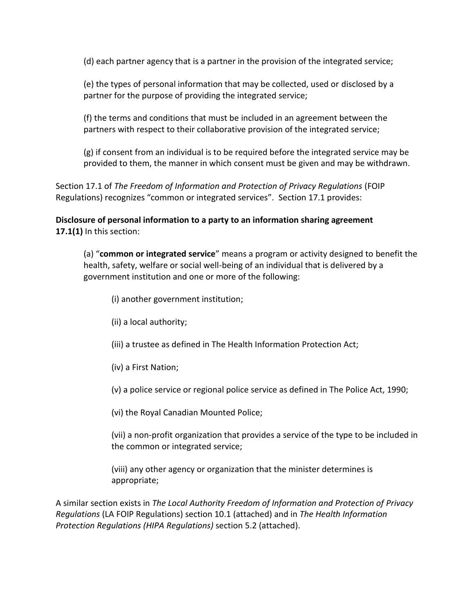(d) each partner agency that is a partner in the provision of the integrated service;

(e) the types of personal information that may be collected, used or disclosed by a partner for the purpose of providing the integrated service;

(f) the terms and conditions that must be included in an agreement between the partners with respect to their collaborative provision of the integrated service;

(g) if consent from an individual is to be required before the integrated service may be provided to them, the manner in which consent must be given and may be withdrawn.

Section 17.1 of *The Freedom of Information and Protection of Privacy Regulations* (FOIP Regulations) recognizes "common or integrated services". Section 17.1 provides:

**Disclosure of personal information to a party to an information sharing agreement 17.1(1)** In this section:

(a) "**common or integrated service**" means a program or activity designed to benefit the health, safety, welfare or social well-being of an individual that is delivered by a government institution and one or more of the following:

(i) another government institution;

- (ii) a local authority;
- (iii) a trustee as defined in The Health Information Protection Act;
- (iv) a First Nation;

(v) a police service or regional police service as defined in The Police Act, 1990;

(vi) the Royal Canadian Mounted Police;

(vii) a non-profit organization that provides a service of the type to be included in the common or integrated service;

(viii) any other agency or organization that the minister determines is appropriate;

A similar section exists in *The Local Authority Freedom of Information and Protection of Privacy Regulations* (LA FOIP Regulations) section 10.1 (attached) and in *The Health Information Protection Regulations (HIPA Regulations)* section 5.2 (attached).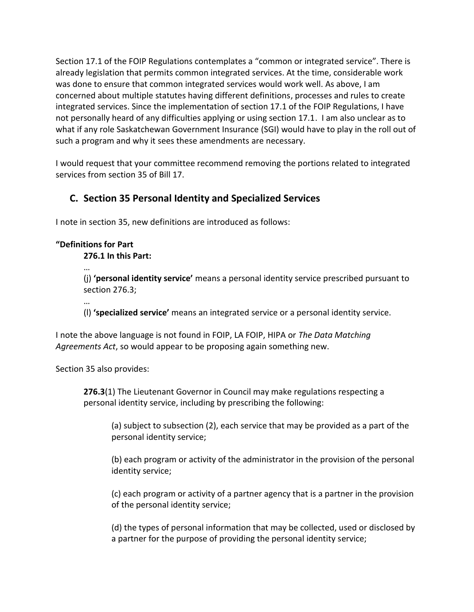Section 17.1 of the FOIP Regulations contemplates a "common or integrated service". There is already legislation that permits common integrated services. At the time, considerable work was done to ensure that common integrated services would work well. As above, I am concerned about multiple statutes having different definitions, processes and rules to create integrated services. Since the implementation of section 17.1 of the FOIP Regulations, I have not personally heard of any difficulties applying or using section 17.1. I am also unclear as to what if any role Saskatchewan Government Insurance (SGI) would have to play in the roll out of such a program and why it sees these amendments are necessary.

I would request that your committee recommend removing the portions related to integrated services from section 35 of Bill 17.

### **C. Section 35 Personal Identity and Specialized Services**

I note in section 35, new definitions are introduced as follows:

#### **"Definitions for Part**

**276.1 In this Part:** 

…

(j) **'personal identity service'** means a personal identity service prescribed pursuant to section 276.3;

…

(l) **'specialized service'** means an integrated service or a personal identity service.

I note the above language is not found in FOIP, LA FOIP, HIPA or *The Data Matching Agreements Act*, so would appear to be proposing again something new.

Section 35 also provides:

**276.3**(1) The Lieutenant Governor in Council may make regulations respecting a personal identity service, including by prescribing the following:

(a) subject to subsection (2), each service that may be provided as a part of the personal identity service;

(b) each program or activity of the administrator in the provision of the personal identity service;

(c) each program or activity of a partner agency that is a partner in the provision of the personal identity service;

(d) the types of personal information that may be collected, used or disclosed by a partner for the purpose of providing the personal identity service;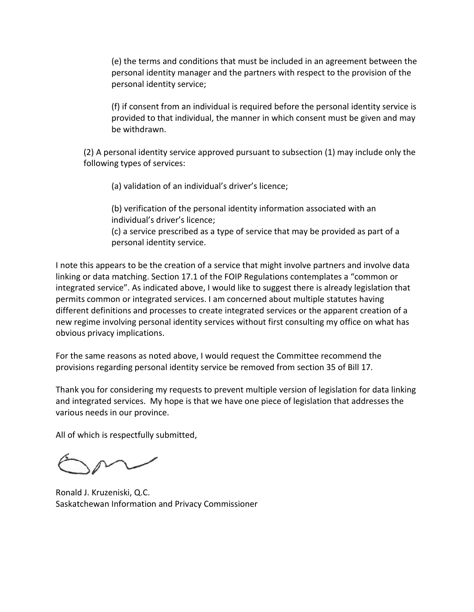(e) the terms and conditions that must be included in an agreement between the personal identity manager and the partners with respect to the provision of the personal identity service;

(f) if consent from an individual is required before the personal identity service is provided to that individual, the manner in which consent must be given and may be withdrawn.

(2) A personal identity service approved pursuant to subsection (1) may include only the following types of services:

(a) validation of an individual's driver's licence;

(b) verification of the personal identity information associated with an individual's driver's licence;

(c) a service prescribed as a type of service that may be provided as part of a personal identity service.

I note this appears to be the creation of a service that might involve partners and involve data linking or data matching. Section 17.1 of the FOIP Regulations contemplates a "common or integrated service". As indicated above, I would like to suggest there is already legislation that permits common or integrated services. I am concerned about multiple statutes having different definitions and processes to create integrated services or the apparent creation of a new regime involving personal identity services without first consulting my office on what has obvious privacy implications.

For the same reasons as noted above, I would request the Committee recommend the provisions regarding personal identity service be removed from section 35 of Bill 17.

Thank you for considering my requests to prevent multiple version of legislation for data linking and integrated services. My hope is that we have one piece of legislation that addresses the various needs in our province.

All of which is respectfully submitted,

Ronald J. Kruzeniski, Q.C. Saskatchewan Information and Privacy Commissioner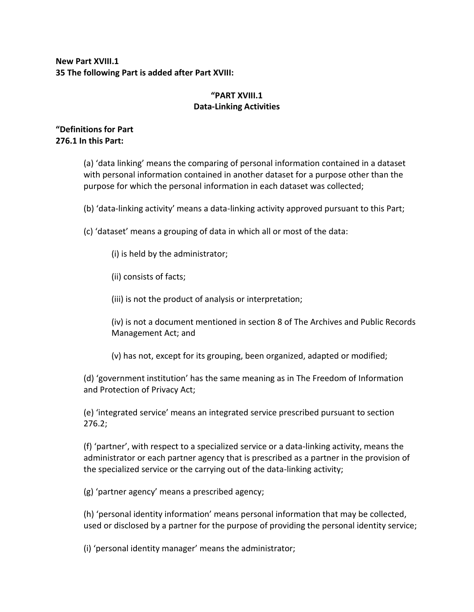#### **New Part XVIII.1 35 The following Part is added after Part XVIII:**

#### **"PART XVIII.1 Data-Linking Activities**

#### **"Definitions for Part 276.1 In this Part:**

(a) 'data linking' means the comparing of personal information contained in a dataset with personal information contained in another dataset for a purpose other than the purpose for which the personal information in each dataset was collected;

(b) 'data-linking activity' means a data-linking activity approved pursuant to this Part;

(c) 'dataset' means a grouping of data in which all or most of the data:

(i) is held by the administrator;

(ii) consists of facts;

(iii) is not the product of analysis or interpretation;

(iv) is not a document mentioned in section 8 of The Archives and Public Records Management Act; and

(v) has not, except for its grouping, been organized, adapted or modified;

(d) 'government institution' has the same meaning as in The Freedom of Information and Protection of Privacy Act;

(e) 'integrated service' means an integrated service prescribed pursuant to section 276.2;

(f) 'partner', with respect to a specialized service or a data-linking activity, means the administrator or each partner agency that is prescribed as a partner in the provision of the specialized service or the carrying out of the data-linking activity;

(g) 'partner agency' means a prescribed agency;

(h) 'personal identity information' means personal information that may be collected, used or disclosed by a partner for the purpose of providing the personal identity service;

(i) 'personal identity manager' means the administrator;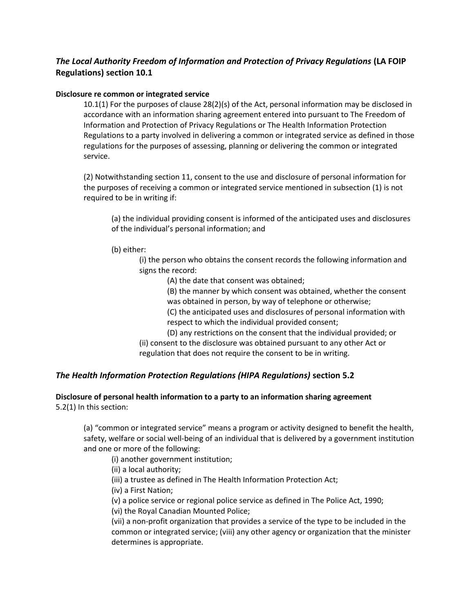#### *The Local Authority Freedom of Information and Protection of Privacy Regulations* **(LA FOIP Regulations) section 10.1**

#### **Disclosure re common or integrated service**

10.1(1) For the purposes of clause 28(2)(s) of the Act, personal information may be disclosed in accordance with an information sharing agreement entered into pursuant to The Freedom of Information and Protection of Privacy Regulations or The Health Information Protection Regulations to a party involved in delivering a common or integrated service as defined in those regulations for the purposes of assessing, planning or delivering the common or integrated service.

(2) Notwithstanding section 11, consent to the use and disclosure of personal information for the purposes of receiving a common or integrated service mentioned in subsection (1) is not required to be in writing if:

(a) the individual providing consent is informed of the anticipated uses and disclosures of the individual's personal information; and

(b) either:

(i) the person who obtains the consent records the following information and signs the record:

(A) the date that consent was obtained;

(B) the manner by which consent was obtained, whether the consent was obtained in person, by way of telephone or otherwise;

(C) the anticipated uses and disclosures of personal information with respect to which the individual provided consent;

(D) any restrictions on the consent that the individual provided; or

(ii) consent to the disclosure was obtained pursuant to any other Act or regulation that does not require the consent to be in writing.

#### *The Health Information Protection Regulations (HIPA Regulations)* **section 5.2**

#### **Disclosure of personal health information to a party to an information sharing agreement** 5.2(1) In this section:

(a) "common or integrated service" means a program or activity designed to benefit the health, safety, welfare or social well-being of an individual that is delivered by a government institution and one or more of the following:

(i) another government institution;

(ii) a local authority;

(iii) a trustee as defined in The Health Information Protection Act;

(iv) a First Nation;

(v) a police service or regional police service as defined in The Police Act, 1990;

(vi) the Royal Canadian Mounted Police;

(vii) a non-profit organization that provides a service of the type to be included in the common or integrated service; (viii) any other agency or organization that the minister determines is appropriate.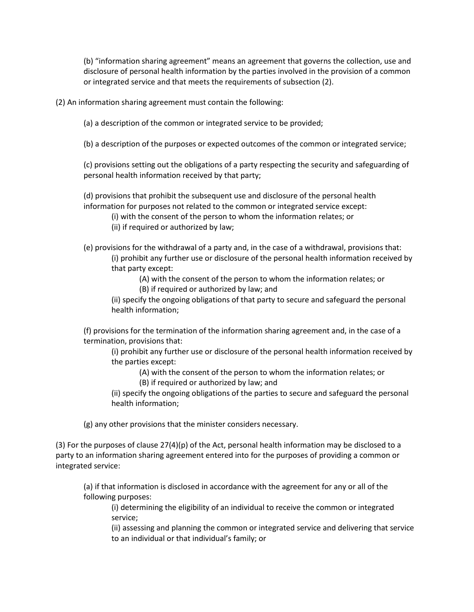(b) "information sharing agreement" means an agreement that governs the collection, use and disclosure of personal health information by the parties involved in the provision of a common or integrated service and that meets the requirements of subsection (2).

(2) An information sharing agreement must contain the following:

(a) a description of the common or integrated service to be provided;

(b) a description of the purposes or expected outcomes of the common or integrated service;

(c) provisions setting out the obligations of a party respecting the security and safeguarding of personal health information received by that party;

(d) provisions that prohibit the subsequent use and disclosure of the personal health information for purposes not related to the common or integrated service except:

(i) with the consent of the person to whom the information relates; or

(ii) if required or authorized by law;

(e) provisions for the withdrawal of a party and, in the case of a withdrawal, provisions that: (i) prohibit any further use or disclosure of the personal health information received by that party except:

> (A) with the consent of the person to whom the information relates; or (B) if required or authorized by law; and

(ii) specify the ongoing obligations of that party to secure and safeguard the personal health information;

(f) provisions for the termination of the information sharing agreement and, in the case of a termination, provisions that:

(i) prohibit any further use or disclosure of the personal health information received by the parties except:

> (A) with the consent of the person to whom the information relates; or (B) if required or authorized by law; and

(ii) specify the ongoing obligations of the parties to secure and safeguard the personal health information;

(g) any other provisions that the minister considers necessary.

(3) For the purposes of clause 27(4)(p) of the Act, personal health information may be disclosed to a party to an information sharing agreement entered into for the purposes of providing a common or integrated service:

(a) if that information is disclosed in accordance with the agreement for any or all of the following purposes:

(i) determining the eligibility of an individual to receive the common or integrated service;

(ii) assessing and planning the common or integrated service and delivering that service to an individual or that individual's family; or